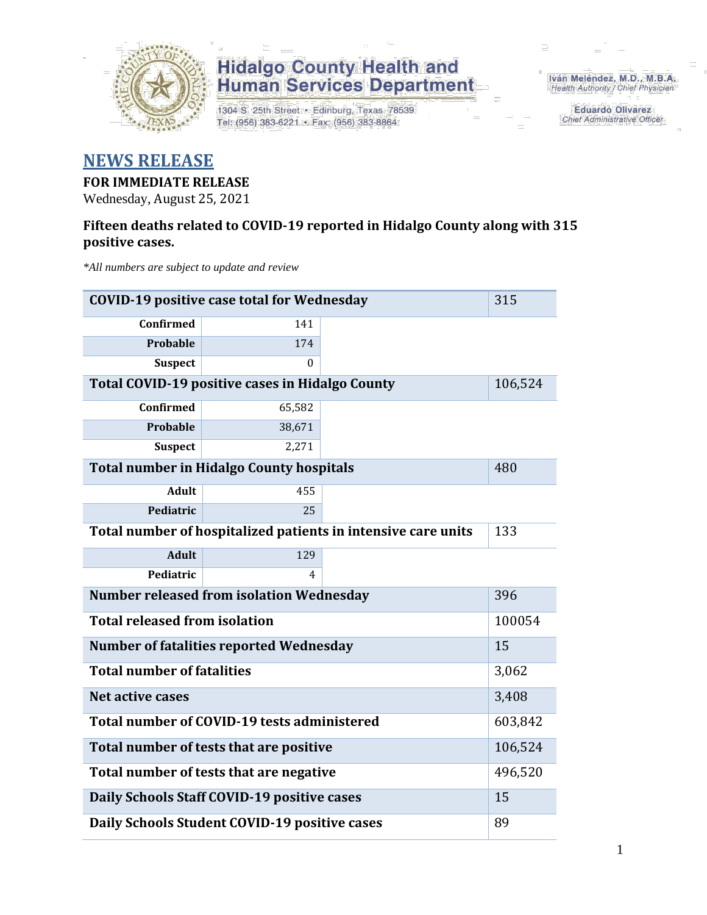

1304 S. 25th Street · Edinburg, Texas 78539 Tel: (956) 383-6221 · Fax: (956) 383-8864

Iván Meléndez, M.D., M.B.A. Health Authority / Chief Physician

> **Eduardo Olivarez Chief Administrative Officer**

#### **NEWS RELEASE**

#### **FOR IMMEDIATE RELEASE**

Wednesday, August 25, 2021

#### **Fifteen deaths related to COVID-19 reported in Hidalgo County along with 315 positive cases.**

*\*All numbers are subject to update and review*

| <b>COVID-19 positive case total for Wednesday</b>             | 315                                             |       |         |  |  |  |
|---------------------------------------------------------------|-------------------------------------------------|-------|---------|--|--|--|
| <b>Confirmed</b>                                              | 141                                             |       |         |  |  |  |
| Probable                                                      | 174                                             |       |         |  |  |  |
| <b>Suspect</b>                                                | 0                                               |       |         |  |  |  |
| Total COVID-19 positive cases in Hidalgo County               |                                                 |       |         |  |  |  |
| <b>Confirmed</b>                                              | 65,582                                          |       |         |  |  |  |
| Probable                                                      | 38,671                                          |       |         |  |  |  |
| <b>Suspect</b>                                                | 2,271                                           |       |         |  |  |  |
|                                                               | <b>Total number in Hidalgo County hospitals</b> |       | 480     |  |  |  |
| <b>Adult</b>                                                  | 455                                             |       |         |  |  |  |
| Pediatric                                                     | 25                                              |       |         |  |  |  |
| Total number of hospitalized patients in intensive care units | 133                                             |       |         |  |  |  |
| <b>Adult</b>                                                  | 129                                             |       |         |  |  |  |
| Pediatric                                                     | 4                                               |       |         |  |  |  |
| <b>Number released from isolation Wednesday</b><br>396        |                                                 |       |         |  |  |  |
| <b>Total released from isolation</b>                          | 100054                                          |       |         |  |  |  |
| <b>Number of fatalities reported Wednesday</b>                | 15                                              |       |         |  |  |  |
| <b>Total number of fatalities</b>                             |                                                 | 3,062 |         |  |  |  |
| Net active cases                                              |                                                 |       | 3,408   |  |  |  |
|                                                               | Total number of COVID-19 tests administered     |       | 603,842 |  |  |  |
|                                                               | Total number of tests that are positive         |       | 106,524 |  |  |  |
|                                                               | Total number of tests that are negative         |       | 496,520 |  |  |  |
|                                                               | Daily Schools Staff COVID-19 positive cases     |       | 15      |  |  |  |
| Daily Schools Student COVID-19 positive cases                 | 89                                              |       |         |  |  |  |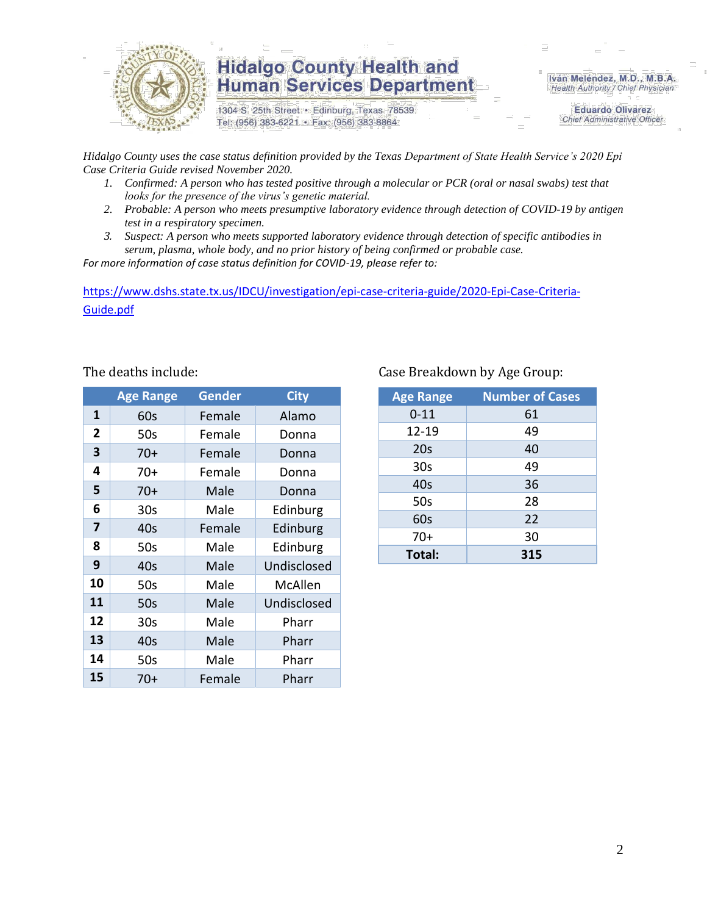

1304 S. 25th Street · Edinburg, Texas 78539 Tel: (956) 383-6221 · Fax: (956) 383-8864

Iván Meléndez, M.D., M.B.A. Health Authority / Chief Physician

> **Eduardo Olivarez Chief Administrative Officer**

*Hidalgo County uses the case status definition provided by the Texas Department of State Health Service's 2020 Epi Case Criteria Guide revised November 2020.*

- *1. Confirmed: A person who has tested positive through a molecular or PCR (oral or nasal swabs) test that looks for the presence of the virus's genetic material.*
- *2. Probable: A person who meets presumptive laboratory evidence through detection of COVID-19 by antigen test in a respiratory specimen.*
- *3. Suspect: A person who meets supported laboratory evidence through detection of specific antibodies in serum, plasma, whole body, and no prior history of being confirmed or probable case.*

*For more information of case status definition for COVID-19, please refer to:*

[https://www.dshs.state.tx.us/IDCU/investigation/epi-case-criteria-guide/2020-Epi-Case-Criteria-](https://www.dshs.state.tx.us/IDCU/investigation/epi-case-criteria-guide/2020-Epi-Case-Criteria-Guide.pdf)[Guide.pdf](https://www.dshs.state.tx.us/IDCU/investigation/epi-case-criteria-guide/2020-Epi-Case-Criteria-Guide.pdf)

|    | <b>Age Range</b> | <b>Gender</b> | <b>City</b> |
|----|------------------|---------------|-------------|
| 1  | 60s              | Female        | Alamo       |
| 2  | 50s              | Female        | Donna       |
| 3  | $70+$            | Female        | Donna       |
| 4  | $70+$            | Female        | Donna       |
| 5  | $70+$            | Male          | Donna       |
| 6  | 30 <sub>s</sub>  | Male          | Edinburg    |
| 7  | 40s              | Female        | Edinburg    |
| 8  | 50s              | Male          | Edinburg    |
| 9  | 40s              | Male          | Undisclosed |
| 10 | 50s              | Male          | McAllen     |
| 11 | 50s              | Male          | Undisclosed |
| 12 | 30 <sub>s</sub>  | Male          | Pharr       |
| 13 | 40s              | Male          | Pharr       |
| 14 | 50s              | Male          | Pharr       |
| 15 | 70+              | Female        | Pharr       |

#### The deaths include: Case Breakdown by Age Group:

| <b>Age Range</b> | <b>Number of Cases</b> |
|------------------|------------------------|
| $0 - 11$         | 61                     |
| $12 - 19$        | 49                     |
| 20s              | 40                     |
| 30 <sub>s</sub>  | 49                     |
| 40s              | 36                     |
| 50s              | 28                     |
| 60s              | 22                     |
| $70+$            | 30                     |
| Total:           | 315                    |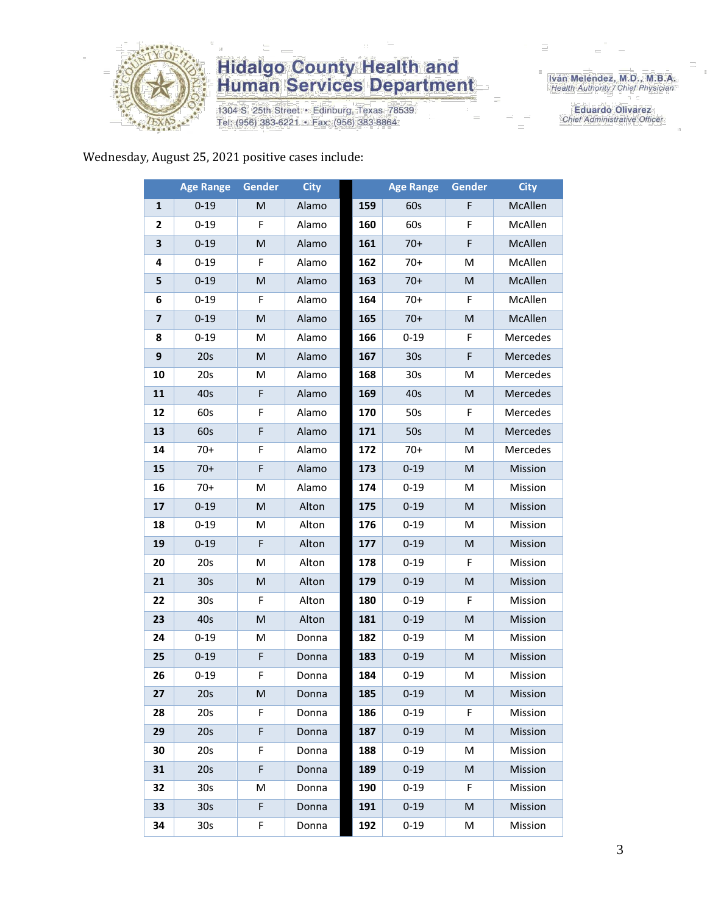

1304 S. 25th Street · Edinburg, Texas 78539 Tel: (956) 383-6221 · Fax: (956) 383-8864

Iván Meléndez, M.D., M.B.A.<br>Health Authority / Chief Physician

**Eduardo Olivarez** Chief Administrative Officer

#### Wednesday, August 25, 2021 positive cases include:

|                         | <b>Age Range</b> | Gender      | <b>City</b> |     | <b>Age Range</b> | Gender | <b>City</b> |
|-------------------------|------------------|-------------|-------------|-----|------------------|--------|-------------|
| $\mathbf{1}$            | $0 - 19$         | M           | Alamo       | 159 | 60s              | F      | McAllen     |
| 2                       | $0 - 19$         | F           | Alamo       | 160 | 60s              | F      | McAllen     |
| 3                       | $0 - 19$         | M           | Alamo       | 161 | $70+$            | F      | McAllen     |
| 4                       | $0 - 19$         | F           | Alamo       | 162 | $70+$            | Μ      | McAllen     |
| 5                       | $0 - 19$         | M           | Alamo       | 163 | $70+$            | M      | McAllen     |
| 6                       | $0 - 19$         | F           | Alamo       | 164 | $70+$            | F      | McAllen     |
| $\overline{\mathbf{z}}$ | $0 - 19$         | M           | Alamo       | 165 | $70+$            | M      | McAllen     |
| 8                       | $0 - 19$         | M           | Alamo       | 166 | $0 - 19$         | F      | Mercedes    |
| $\boldsymbol{9}$        | 20s              | M           | Alamo       | 167 | 30 <sub>s</sub>  | F      | Mercedes    |
| 10                      | 20s              | M           | Alamo       | 168 | 30 <sub>s</sub>  | Μ      | Mercedes    |
| 11                      | 40s              | F           | Alamo       | 169 | 40s              | M      | Mercedes    |
| 12                      | 60s              | F           | Alamo       | 170 | 50s              | F      | Mercedes    |
| 13                      | 60s              | $\mathsf F$ | Alamo       | 171 | 50s              | M      | Mercedes    |
| 14                      | 70+              | F           | Alamo       | 172 | $70+$            | M      | Mercedes    |
| 15                      | $70+$            | $\mathsf F$ | Alamo       | 173 | $0 - 19$         | M      | Mission     |
| 16                      | $70+$            | M           | Alamo       | 174 | $0 - 19$         | M      | Mission     |
| 17                      | $0 - 19$         | M           | Alton       | 175 | $0 - 19$         | M      | Mission     |
| 18                      | $0 - 19$         | M           | Alton       | 176 | $0 - 19$         | M      | Mission     |
| 19                      | $0 - 19$         | F           | Alton       | 177 | $0 - 19$         | M      | Mission     |
| 20                      | 20s              | M           | Alton       | 178 | $0 - 19$         | F      | Mission     |
| 21                      | 30 <sub>s</sub>  | M           | Alton       | 179 | $0 - 19$         | M      | Mission     |
| 22                      | 30s              | F           | Alton       | 180 | $0 - 19$         | F      | Mission     |
| 23                      | 40s              | M           | Alton       | 181 | $0 - 19$         | M      | Mission     |
| 24                      | $0 - 19$         | M           | Donna       | 182 | $0 - 19$         | M      | Mission     |
| 25                      | $0 - 19$         | $\mathsf F$ | Donna       | 183 | $0 - 19$         | M      | Mission     |
| 26                      | $0 - 19$         | F           | Donna       | 184 | $0 - 19$         | Μ      | Mission     |
| 27                      | 20s              | M           | Donna       | 185 | $0 - 19$         | M      | Mission     |
| 28                      | 20s              | F.          | Donna       | 186 | $0 - 19$         | F.     | Mission     |
| 29                      | 20s              | F           | Donna       | 187 | $0 - 19$         | M      | Mission     |
| 30                      | 20s              | F           | Donna       | 188 | $0 - 19$         | M      | Mission     |
| 31                      | 20s              | F           | Donna       | 189 | $0 - 19$         | M      | Mission     |
| 32                      | 30 <sub>s</sub>  | M           | Donna       | 190 | $0 - 19$         | F      | Mission     |
| 33                      | 30 <sub>s</sub>  | F           | Donna       | 191 | $0 - 19$         | M      | Mission     |
| 34                      | 30s              | F.          | Donna       | 192 | $0 - 19$         | M      | Mission     |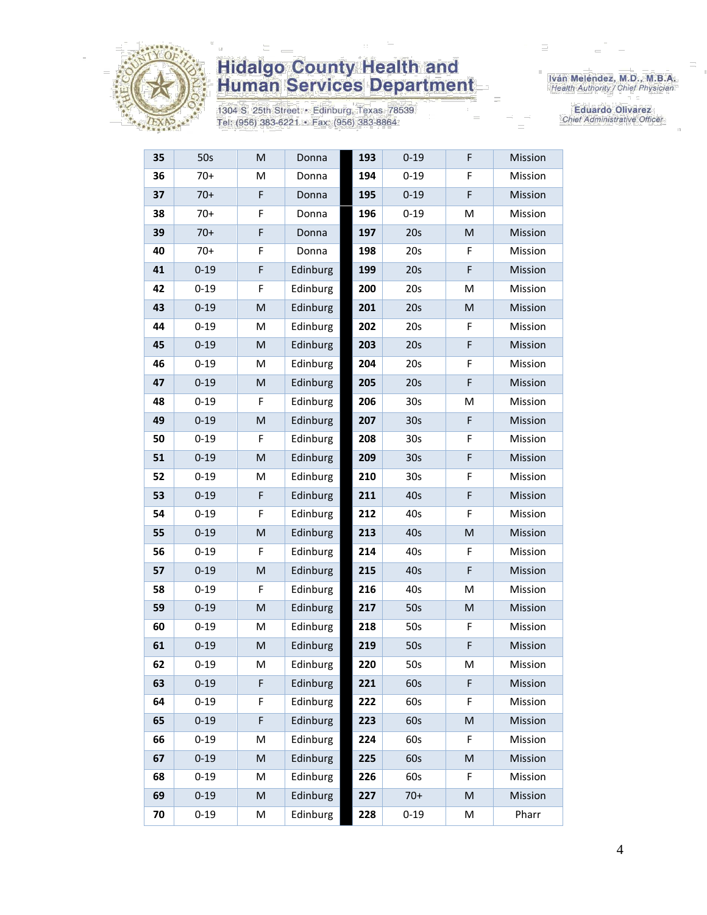

1304 S. 25th Street · Edinburg, Texas 78539 Tel: (956) 383-6221 · Fax: (956) 383-8864

Iván Meléndez, M.D., M.B.A.<br>Health Authority / Chief Physician

**Eduardo Olivarez** Chief Administrative Officer

| 35 | 50s      | M         | Donna    | 193 | $0 - 19$        | F | Mission |
|----|----------|-----------|----------|-----|-----------------|---|---------|
| 36 | $70+$    | M         | Donna    | 194 | $0 - 19$        | F | Mission |
| 37 | $70+$    | F         | Donna    | 195 | $0 - 19$        | F | Mission |
| 38 | $70+$    | F         | Donna    | 196 | $0 - 19$        | M | Mission |
| 39 | $70+$    | F         | Donna    | 197 | 20s             | M | Mission |
| 40 | $70+$    | F         | Donna    | 198 | 20s             | F | Mission |
| 41 | $0 - 19$ | F         | Edinburg | 199 | 20s             | F | Mission |
| 42 | $0 - 19$ | F         | Edinburg | 200 | 20s             | Μ | Mission |
| 43 | $0 - 19$ | M         | Edinburg | 201 | 20s             | M | Mission |
| 44 | $0 - 19$ | M         | Edinburg | 202 | 20s             | F | Mission |
| 45 | $0 - 19$ | M         | Edinburg | 203 | 20s             | F | Mission |
| 46 | $0 - 19$ | M         | Edinburg | 204 | 20s             | F | Mission |
| 47 | $0 - 19$ | M         | Edinburg | 205 | 20s             | F | Mission |
| 48 | $0 - 19$ | F         | Edinburg | 206 | 30 <sub>s</sub> | Μ | Mission |
| 49 | $0 - 19$ | M         | Edinburg | 207 | 30 <sub>s</sub> | F | Mission |
| 50 | $0 - 19$ | F         | Edinburg | 208 | 30 <sub>s</sub> | F | Mission |
| 51 | $0 - 19$ | M         | Edinburg | 209 | 30 <sub>s</sub> | F | Mission |
| 52 | $0 - 19$ | M         | Edinburg | 210 | 30s             | F | Mission |
| 53 | $0 - 19$ | F         | Edinburg | 211 | 40s             | F | Mission |
| 54 | $0 - 19$ | F         | Edinburg | 212 | 40s             | F | Mission |
| 55 | $0 - 19$ | M         | Edinburg | 213 | 40s             | M | Mission |
| 56 | $0 - 19$ | F         | Edinburg | 214 | 40s             | F | Mission |
| 57 | $0 - 19$ | M         | Edinburg | 215 | 40s             | F | Mission |
| 58 | $0 - 19$ | F         | Edinburg | 216 | 40s             | M | Mission |
| 59 | $0 - 19$ | M         | Edinburg | 217 | 50s             | M | Mission |
| 60 | $0 - 19$ | M         | Edinburg | 218 | 50s             | F | Mission |
| 61 | $0 - 19$ | M         | Edinburg | 219 | 50s             | F | Mission |
| 62 | $0 - 19$ | M         | Edinburg | 220 | 50s             | Μ | Mission |
| 63 | $0 - 19$ | F         | Edinburg | 221 | 60s             | F | Mission |
| 64 | $0 - 19$ | F         | Edinburg | 222 | 60s             | F | Mission |
| 65 | $0 - 19$ | F         | Edinburg | 223 | 60s             | M | Mission |
| 66 | $0 - 19$ | M         | Edinburg | 224 | 60s             | F | Mission |
| 67 | $0 - 19$ | M         | Edinburg | 225 | 60s             | M | Mission |
| 68 | $0 - 19$ | M         | Edinburg | 226 | 60s             | F | Mission |
| 69 | $0 - 19$ | ${\sf M}$ | Edinburg | 227 | $70+$           | M | Mission |
| 70 | $0 - 19$ | М         | Edinburg | 228 | $0 - 19$        | М | Pharr   |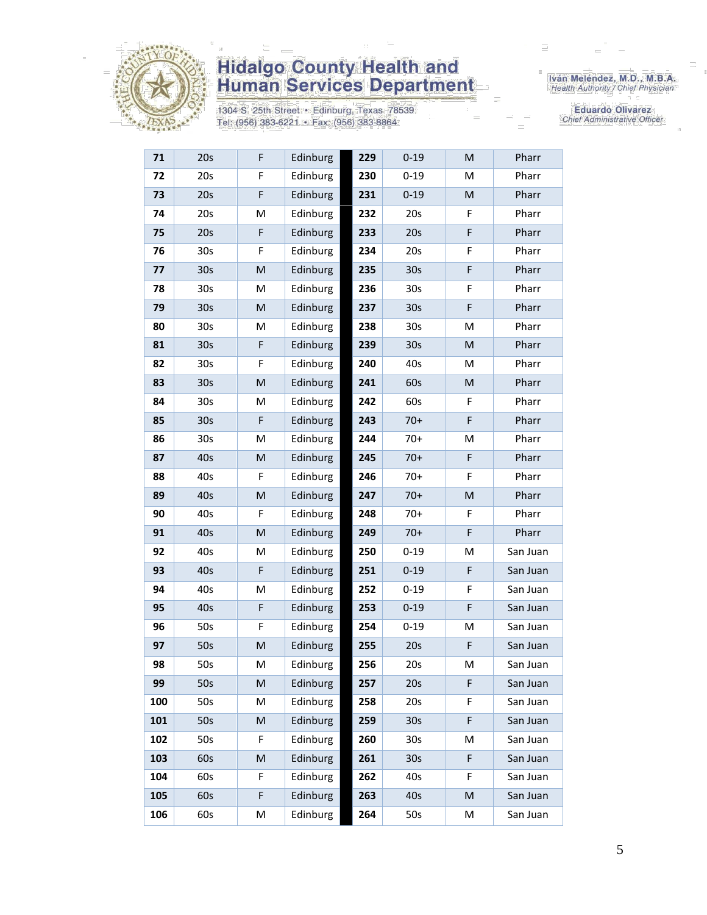

1304 S. 25th Street · Edinburg, Texas 78539 Tel: (956) 383-6221 · Fax: (956) 383-8864

Iván Meléndez, M.D., M.B.A.<br>Health Authority / Chief Physician

Eduardo Olivarez Chief Administrative Officer

| 71  | 20s             | F           | Edinburg | 229 | $0 - 19$        | M         | Pharr    |
|-----|-----------------|-------------|----------|-----|-----------------|-----------|----------|
| 72  | 20s             | F           | Edinburg | 230 | $0 - 19$        | M         | Pharr    |
| 73  | 20s             | F           | Edinburg | 231 | $0 - 19$        | ${\sf M}$ | Pharr    |
| 74  | 20s             | M           | Edinburg | 232 | 20s             | F         | Pharr    |
| 75  | 20s             | F           | Edinburg | 233 | 20s             | F         | Pharr    |
| 76  | 30 <sub>s</sub> | F           | Edinburg | 234 | 20s             | F         | Pharr    |
| 77  | 30 <sub>s</sub> | M           | Edinburg | 235 | 30 <sub>s</sub> | F         | Pharr    |
| 78  | 30 <sub>s</sub> | M           | Edinburg | 236 | 30 <sub>s</sub> | F         | Pharr    |
| 79  | 30 <sub>s</sub> | M           | Edinburg | 237 | 30 <sub>s</sub> | F         | Pharr    |
| 80  | 30 <sub>s</sub> | M           | Edinburg | 238 | 30 <sub>s</sub> | M         | Pharr    |
| 81  | 30 <sub>s</sub> | F           | Edinburg | 239 | 30 <sub>s</sub> | M         | Pharr    |
| 82  | 30s             | F           | Edinburg | 240 | 40s             | M         | Pharr    |
| 83  | 30 <sub>s</sub> | M           | Edinburg | 241 | 60s             | M         | Pharr    |
| 84  | 30 <sub>s</sub> | М           | Edinburg | 242 | 60s             | F         | Pharr    |
| 85  | 30 <sub>s</sub> | $\mathsf F$ | Edinburg | 243 | $70+$           | F         | Pharr    |
| 86  | 30 <sub>s</sub> | M           | Edinburg | 244 | $70+$           | M         | Pharr    |
| 87  | 40s             | M           | Edinburg | 245 | $70+$           | F         | Pharr    |
| 88  | 40s             | F           | Edinburg | 246 | $70+$           | F         | Pharr    |
| 89  | 40s             | M           | Edinburg | 247 | $70+$           | M         | Pharr    |
| 90  | 40s             | F           | Edinburg | 248 | $70+$           | F         | Pharr    |
| 91  | 40s             | M           | Edinburg | 249 | $70+$           | F         | Pharr    |
| 92  | 40s             | М           | Edinburg | 250 | $0 - 19$        | M         | San Juan |
| 93  | 40s             | $\mathsf F$ | Edinburg | 251 |                 | F         | San Juan |
|     |                 |             |          |     | $0 - 19$        |           |          |
| 94  | 40s             | M           | Edinburg | 252 | $0 - 19$        | F         | San Juan |
| 95  | 40s             | $\mathsf F$ | Edinburg | 253 | $0 - 19$        | F         | San Juan |
| 96  | 50s             | F           | Edinburg | 254 | $0 - 19$        | M         | San Juan |
| 97  | 50s             | M           | Edinburg | 255 | 20s             | F         | San Juan |
| 98  | 50s             | М           | Edinburg | 256 | 20s             | M         | San Juan |
| 99  | 50s             | M           | Edinburg | 257 | 20s             | F         | San Juan |
| 100 | 50s             | Μ           | Edinburg | 258 | 20s             | F         | San Juan |
| 101 | 50s             | M           | Edinburg | 259 | 30 <sub>s</sub> | F         | San Juan |
| 102 | 50s             | F           | Edinburg | 260 | 30 <sub>s</sub> | M         | San Juan |
| 103 | 60s             | M           | Edinburg | 261 | 30 <sub>s</sub> | F         | San Juan |
| 104 | 60s             | F           | Edinburg | 262 | 40s             | F         | San Juan |
| 105 | 60s             | F           | Edinburg | 263 | 40s             | M         | San Juan |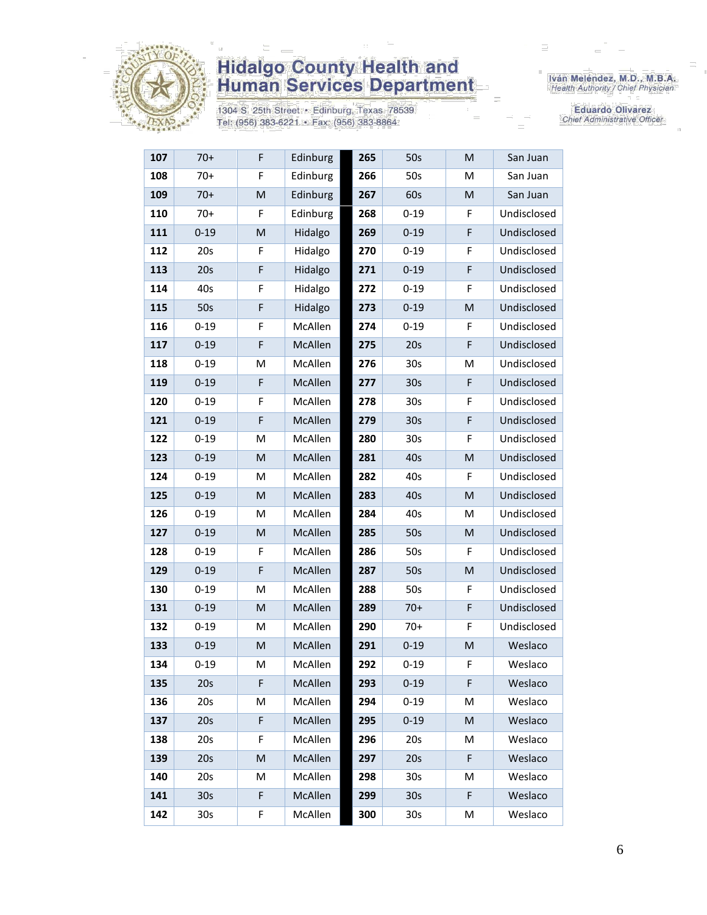

1304 S. 25th Street • Edinburg, Texas 78539<br>Tel: (956) 383-6221 • Fax: (956) 383-8864

Iván Meléndez, M.D., M.B.A.<br>Health Authority / Chief Physician

Eduardo Olivarez Chief Administrative Officer

| 107 | $70+$           | F                                                                                                          | Edinburg | 265 | 50s             | M  | San Juan    |
|-----|-----------------|------------------------------------------------------------------------------------------------------------|----------|-----|-----------------|----|-------------|
| 108 | $70+$           | F                                                                                                          | Edinburg | 266 | 50s             | M  | San Juan    |
| 109 | $70+$           | $\mathsf{M}% _{T}=\mathsf{M}_{T}\!\left( a,b\right) ,\ \mathsf{M}_{T}=\mathsf{M}_{T}\!\left( a,b\right) ,$ | Edinburg | 267 | 60s             | M  | San Juan    |
| 110 | $70+$           | F                                                                                                          | Edinburg | 268 | $0 - 19$        | F  | Undisclosed |
| 111 | $0 - 19$        | M                                                                                                          | Hidalgo  | 269 | $0 - 19$        | F  | Undisclosed |
| 112 | 20s             | F                                                                                                          | Hidalgo  | 270 | $0 - 19$        | F  | Undisclosed |
| 113 | 20s             | F                                                                                                          | Hidalgo  | 271 | $0 - 19$        | F  | Undisclosed |
| 114 | 40s             | $\mathsf F$                                                                                                | Hidalgo  | 272 | $0 - 19$        | F  | Undisclosed |
| 115 | 50s             | $\mathsf F$                                                                                                | Hidalgo  | 273 | $0 - 19$        | M  | Undisclosed |
| 116 | $0 - 19$        | F                                                                                                          | McAllen  | 274 | $0 - 19$        | F  | Undisclosed |
| 117 | $0 - 19$        | $\mathsf F$                                                                                                | McAllen  | 275 | 20s             | F  | Undisclosed |
| 118 | $0 - 19$        | M                                                                                                          | McAllen  | 276 | 30 <sub>s</sub> | M  | Undisclosed |
| 119 | $0 - 19$        | F                                                                                                          | McAllen  | 277 | 30s             | F  | Undisclosed |
| 120 | $0 - 19$        | F                                                                                                          | McAllen  | 278 | 30 <sub>s</sub> | F  | Undisclosed |
| 121 | $0 - 19$        | $\mathsf F$                                                                                                | McAllen  | 279 | 30 <sub>s</sub> | F  | Undisclosed |
| 122 | $0 - 19$        | M                                                                                                          | McAllen  | 280 | 30 <sub>s</sub> | F  | Undisclosed |
| 123 | $0 - 19$        | M                                                                                                          | McAllen  | 281 | 40s             | M  | Undisclosed |
| 124 | $0 - 19$        | M                                                                                                          | McAllen  | 282 | 40s             | F  | Undisclosed |
| 125 | $0 - 19$        | M                                                                                                          | McAllen  | 283 | 40s             | M  | Undisclosed |
| 126 | $0 - 19$        | M                                                                                                          | McAllen  | 284 | 40s             | M  | Undisclosed |
| 127 | $0 - 19$        | M                                                                                                          | McAllen  | 285 | 50s             | M  | Undisclosed |
| 128 | $0 - 19$        | F                                                                                                          | McAllen  | 286 | 50s             | F  | Undisclosed |
| 129 | $0 - 19$        | F                                                                                                          | McAllen  | 287 | 50s             | M  | Undisclosed |
| 130 | $0 - 19$        | M                                                                                                          | McAllen  | 288 | 50s             | F  | Undisclosed |
| 131 | $0 - 19$        | M                                                                                                          | McAllen  | 289 | $70+$           | F  | Undisclosed |
| 132 | $0 - 19$        | М                                                                                                          | McAllen  | 290 | $70+$           | F  | Undisclosed |
| 133 | $0 - 19$        | M                                                                                                          | McAllen  | 291 | $0 - 19$        | M  | Weslaco     |
| 134 | $0 - 19$        | M                                                                                                          | McAllen  | 292 | $0 - 19$        | F. | Weslaco     |
| 135 | 20s             | F.                                                                                                         | McAllen  | 293 | $0 - 19$        | F  | Weslaco     |
| 136 | 20s             | Μ                                                                                                          | McAllen  | 294 | $0 - 19$        | Μ  | Weslaco     |
| 137 | 20s             | F                                                                                                          | McAllen  | 295 | $0 - 19$        | M  | Weslaco     |
| 138 | 20s             | F                                                                                                          | McAllen  | 296 | 20s             | M  | Weslaco     |
| 139 | 20s             | M                                                                                                          | McAllen  | 297 | 20s             | F  | Weslaco     |
| 140 | 20s             | M                                                                                                          | McAllen  | 298 | 30 <sub>s</sub> | M  | Weslaco     |
| 141 | 30 <sub>s</sub> | F                                                                                                          | McAllen  | 299 | 30 <sub>s</sub> | F  | Weslaco     |
| 142 | 30 <sub>s</sub> | F                                                                                                          | McAllen  | 300 | 30s             | М  | Weslaco     |